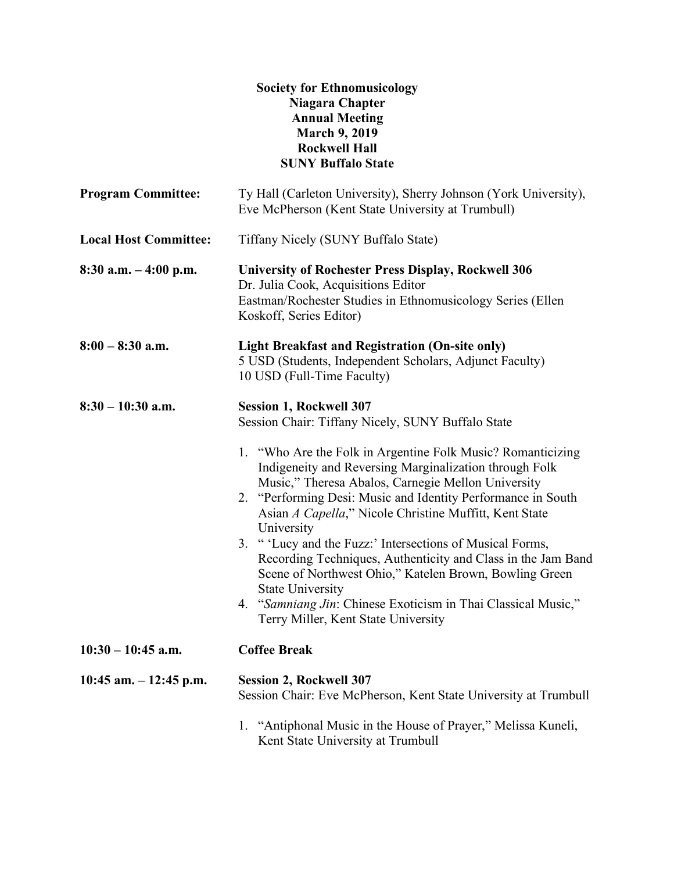## **Society for Ethnomusicology Niagara Chapter Annual Meeting March 9, 2019 Rockwell Hall SUNY Buffalo State**

| <b>Program Committee:</b>    | Ty Hall (Carleton University), Sherry Johnson (York University),<br>Eve McPherson (Kent State University at Trumbull)                                                                                                                                                                                                                                                                                                                                                                                                                                                                                                                         |
|------------------------------|-----------------------------------------------------------------------------------------------------------------------------------------------------------------------------------------------------------------------------------------------------------------------------------------------------------------------------------------------------------------------------------------------------------------------------------------------------------------------------------------------------------------------------------------------------------------------------------------------------------------------------------------------|
| <b>Local Host Committee:</b> | Tiffany Nicely (SUNY Buffalo State)                                                                                                                                                                                                                                                                                                                                                                                                                                                                                                                                                                                                           |
| $8:30$ a.m. $-4:00$ p.m.     | <b>University of Rochester Press Display, Rockwell 306</b><br>Dr. Julia Cook, Acquisitions Editor<br>Eastman/Rochester Studies in Ethnomusicology Series (Ellen<br>Koskoff, Series Editor)                                                                                                                                                                                                                                                                                                                                                                                                                                                    |
| $8:00 - 8:30$ a.m.           | <b>Light Breakfast and Registration (On-site only)</b><br>5 USD (Students, Independent Scholars, Adjunct Faculty)<br>10 USD (Full-Time Faculty)                                                                                                                                                                                                                                                                                                                                                                                                                                                                                               |
| $8:30 - 10:30$ a.m.          | <b>Session 1, Rockwell 307</b><br>Session Chair: Tiffany Nicely, SUNY Buffalo State                                                                                                                                                                                                                                                                                                                                                                                                                                                                                                                                                           |
|                              | 1. "Who Are the Folk in Argentine Folk Music? Romanticizing<br>Indigeneity and Reversing Marginalization through Folk<br>Music," Theresa Abalos, Carnegie Mellon University<br>2. "Performing Desi: Music and Identity Performance in South<br>Asian A Capella," Nicole Christine Muffitt, Kent State<br>University<br>3. " 'Lucy and the Fuzz:' Intersections of Musical Forms,<br>Recording Techniques, Authenticity and Class in the Jam Band<br>Scene of Northwest Ohio," Katelen Brown, Bowling Green<br><b>State University</b><br>4. "Samniang Jin: Chinese Exoticism in Thai Classical Music,"<br>Terry Miller, Kent State University |
| $10:30 - 10:45$ a.m.         | <b>Coffee Break</b>                                                                                                                                                                                                                                                                                                                                                                                                                                                                                                                                                                                                                           |
| 10:45 am. $-12:45$ p.m.      | <b>Session 2, Rockwell 307</b><br>Session Chair: Eve McPherson, Kent State University at Trumbull                                                                                                                                                                                                                                                                                                                                                                                                                                                                                                                                             |
|                              | 1. "Antiphonal Music in the House of Prayer," Melissa Kuneli,<br>Kent State University at Trumbull                                                                                                                                                                                                                                                                                                                                                                                                                                                                                                                                            |